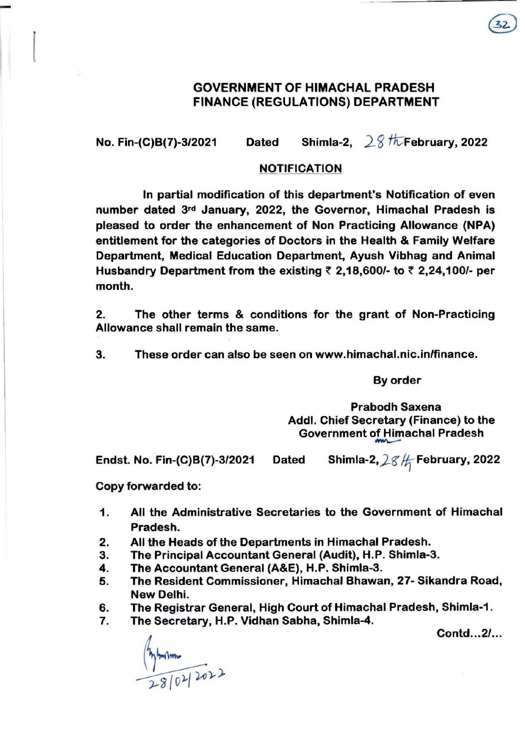## GOVERNMENT OF HIMACHAL PRADESH FINANCE (REGULATIONS) DEPARTMENT

No. Fin-(C)B(7)-3/2021 Dated Shimla-2,  $28$  f $\overline{k}$ February, 2022

## NOTIFICATION

In partial modification of this department's Notification of even number dated 3rd January, 2022, the Governor, Himachal Pradesh is pleased to order the enhancement of Non Practicing Allowance (NPA) entitlement for the categories of Doctors in the Health & Family Welfare Department, Medical Education Department. Ayush Vibhag and Animal Husbandry Department from the existing  $\bar{\tau}$  2,18,600/- to  $\bar{\tau}$  2,24,100/- per month.

2. The other terms & conditions for the grant of Non-Practicing Allowance shall remain the same.

3. These order can also be seen on www.himachal.nic.inlfinance.

By order

Prabodh Saxena Addl. Chief Secretary (Finance) to the Government of Himachal Pradesh

Endst. No. Fin-(C)B(7)-3/2021 Dated Shimla-2,  $28/$  February, 2022

Copy forwarded to:

-

 $\mathbf{r}$ 

- 1. All the Administrative Secretaries to the Government of Himachal Pradesh.
- 2. All the Heads of the Departments in Himachal Pradesh.
- 3. The Principal Accountant General (Audit), H.P. Shimla-3.
- 4. The Accountant General (A&E), H.P. Shimla-3.
- 5. The Resident Commissioner, Himachal Bhawan, 27- Sikandra Road, New Delhi.
- 6. The Registrar General, High Court of Himachal Pradesh, Shimla-1 .
- 7. The Secretary, H.P. Vidhan Sabha, Shimla-4.

Contd...2/...

 $\frac{4}{3}$  modulars 2